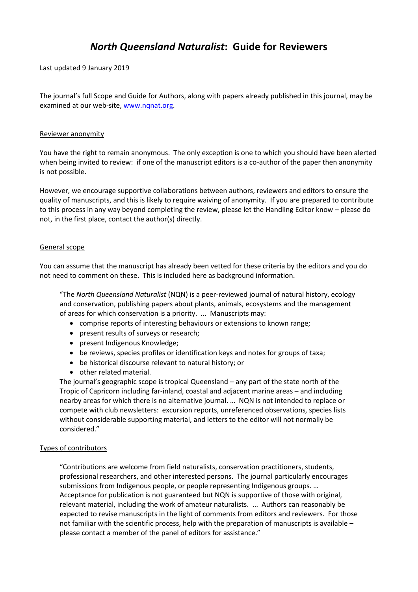# *North Queensland Naturalist***: Guide for Reviewers**

Last updated 9 January 2019

The journal's full Scope and Guide for Authors, along with papers already published in this journal, may be examined at our web-site, [www.nqnat.org.](http://www.nqnat.org/)

### Reviewer anonymity

You have the right to remain anonymous. The only exception is one to which you should have been alerted when being invited to review: if one of the manuscript editors is a co-author of the paper then anonymity is not possible.

However, we encourage supportive collaborations between authors, reviewers and editors to ensure the quality of manuscripts, and this is likely to require waiving of anonymity. If you are prepared to contribute to this process in any way beyond completing the review, please let the Handling Editor know – please do not, in the first place, contact the author(s) directly.

### General scope

You can assume that the manuscript has already been vetted for these criteria by the editors and you do not need to comment on these. This is included here as background information.

"The *North Queensland Naturalist* (NQN) is a peer-reviewed journal of natural history, ecology and conservation, publishing papers about plants, animals, ecosystems and the management of areas for which conservation is a priority. ... Manuscripts may:

- comprise reports of interesting behaviours or extensions to known range;
- present results of surveys or research;
- present Indigenous Knowledge;
- be reviews, species profiles or identification keys and notes for groups of taxa;
- be historical discourse relevant to natural history; or
- other related material.

The journal's geographic scope is tropical Queensland – any part of the state north of the Tropic of Capricorn including far-inland, coastal and adjacent marine areas – and including nearby areas for which there is no alternative journal. … NQN is not intended to replace or compete with club newsletters: excursion reports, unreferenced observations, species lists without considerable supporting material, and letters to the editor will not normally be considered."

## Types of contributors

"Contributions are welcome from field naturalists, conservation practitioners, students, professional researchers, and other interested persons. The journal particularly encourages submissions from Indigenous people, or people representing Indigenous groups. … Acceptance for publication is not guaranteed but NQN is supportive of those with original, relevant material, including the work of amateur naturalists. ... Authors can reasonably be expected to revise manuscripts in the light of comments from editors and reviewers. For those not familiar with the scientific process, help with the preparation of manuscripts is available – please contact a member of the panel of editors for assistance."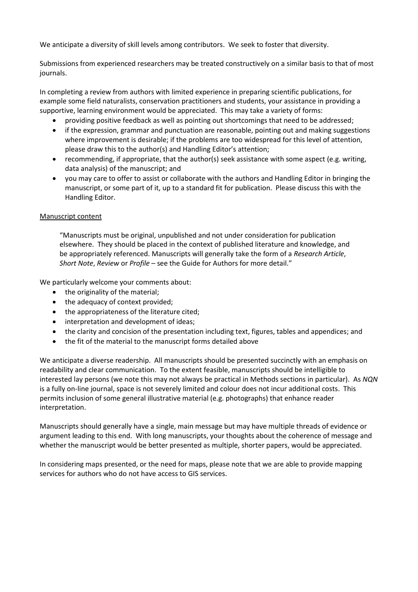We anticipate a diversity of skill levels among contributors. We seek to foster that diversity.

Submissions from experienced researchers may be treated constructively on a similar basis to that of most journals.

In completing a review from authors with limited experience in preparing scientific publications, for example some field naturalists, conservation practitioners and students, your assistance in providing a supportive, learning environment would be appreciated. This may take a variety of forms:

- providing positive feedback as well as pointing out shortcomings that need to be addressed;
- if the expression, grammar and punctuation are reasonable, pointing out and making suggestions where improvement is desirable; if the problems are too widespread for this level of attention, please draw this to the author(s) and Handling Editor's attention;
- recommending, if appropriate, that the author(s) seek assistance with some aspect (e.g. writing, data analysis) of the manuscript; and
- you may care to offer to assist or collaborate with the authors and Handling Editor in bringing the manuscript, or some part of it, up to a standard fit for publication. Please discuss this with the Handling Editor.

## Manuscript content

"Manuscripts must be original, unpublished and not under consideration for publication elsewhere. They should be placed in the context of published literature and knowledge, and be appropriately referenced. Manuscripts will generally take the form of a *Research Article*, *Short Note*, *Review* or *Profile* – see the Guide for Authors for more detail."

We particularly welcome your comments about:

- the originality of the material;
- the adequacy of context provided;
- the appropriateness of the literature cited;
- interpretation and development of ideas;
- the clarity and concision of the presentation including text, figures, tables and appendices; and
- the fit of the material to the manuscript forms detailed above

We anticipate a diverse readership. All manuscripts should be presented succinctly with an emphasis on readability and clear communication. To the extent feasible, manuscripts should be intelligible to interested lay persons (we note this may not always be practical in Methods sections in particular). As *NQN* is a fully on-line journal, space is not severely limited and colour does not incur additional costs. This permits inclusion of some general illustrative material (e.g. photographs) that enhance reader interpretation.

Manuscripts should generally have a single, main message but may have multiple threads of evidence or argument leading to this end. With long manuscripts, your thoughts about the coherence of message and whether the manuscript would be better presented as multiple, shorter papers, would be appreciated.

In considering maps presented, or the need for maps, please note that we are able to provide mapping services for authors who do not have access to GIS services.